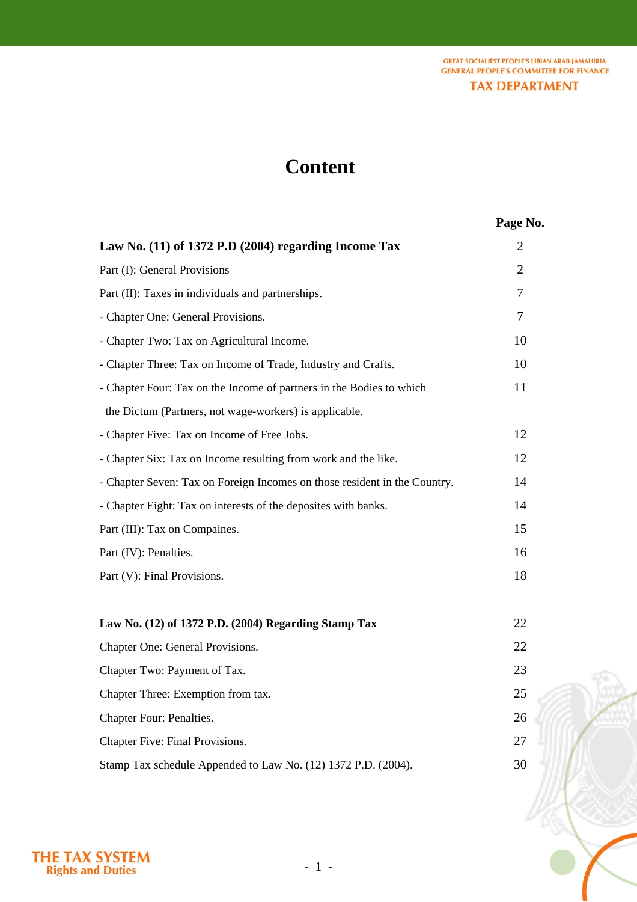**GREAT SOCIALIEST PEOPLE'S LIBIAN ARAB JAMAHIRIA GENERAL PEOPLE'S COMMITTEE FOR FINANCE TAX DEPARTMENT** 

# **Content**

## **Page No.**

| Law No. $(11)$ of 1372 P.D $(2004)$ regarding Income Tax                  | $\overline{2}$ |
|---------------------------------------------------------------------------|----------------|
| Part (I): General Provisions                                              | $\overline{2}$ |
| Part (II): Taxes in individuals and partnerships.                         | $\tau$         |
| - Chapter One: General Provisions.                                        | $\overline{7}$ |
| - Chapter Two: Tax on Agricultural Income.                                | 10             |
| - Chapter Three: Tax on Income of Trade, Industry and Crafts.             | 10             |
| - Chapter Four: Tax on the Income of partners in the Bodies to which      | 11             |
| the Dictum (Partners, not wage-workers) is applicable.                    |                |
| - Chapter Five: Tax on Income of Free Jobs.                               | 12             |
| - Chapter Six: Tax on Income resulting from work and the like.            | 12             |
| - Chapter Seven: Tax on Foreign Incomes on those resident in the Country. | 14             |
| - Chapter Eight: Tax on interests of the deposites with banks.            | 14             |
| Part (III): Tax on Compaines.                                             | 15             |
| Part (IV): Penalties.                                                     | 16             |
| Part (V): Final Provisions.                                               | 18             |
|                                                                           |                |
| Law No. (12) of 1372 P.D. (2004) Regarding Stamp Tax                      | 22             |
| Chapter One: General Provisions.                                          | 22             |
| Chapter Two: Payment of Tax.                                              | 23             |
| Chapter Three: Exemption from tax.                                        | 25             |
| Chapter Four: Penalties.                                                  | 26             |
| Chapter Five: Final Provisions.                                           | 27             |
| Stamp Tax schedule Appended to Law No. (12) 1372 P.D. (2004).             | 30             |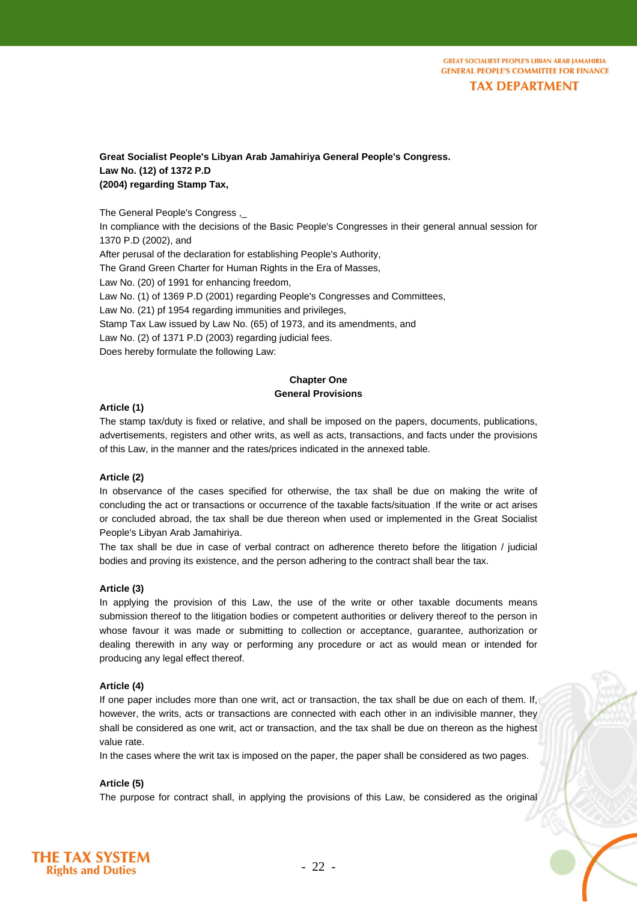#### **Great Socialist People's Libyan Arab Jamahiriya General People's Congress. Law No. (12) of 1372 P.D (2004) regarding Stamp Tax,**

The General People's Congress ,\_

In compliance with the decisions of the Basic People's Congresses in their general annual session for 1370 P.D (2002), and

After perusal of the declaration for establishing People's Authority,

The Grand Green Charter for Human Rights in the Era of Masses,

Law No. (20) of 1991 for enhancing freedom,

Law No. (1) of 1369 P.D (2001) regarding People's Congresses and Committees,

Law No. (21) pf 1954 regarding immunities and privileges,

Stamp Tax Law issued by Law No. (65) of 1973, and its amendments, and

Law No. (2) of 1371 P.D (2003) regarding judicial fees.

Does hereby formulate the following Law:

#### **Chapter One General Provisions**

#### **Article (1)**

The stamp tax/duty is fixed or relative, and shall be imposed on the papers, documents, publications, advertisements, registers and other writs, as well as acts, transactions, and facts under the provisions of this Law, in the manner and the rates/prices indicated in the annexed table.

#### **Article (2)**

In observance of the cases specified for otherwise, the tax shall be due on making the write of concluding the act or transactions or occurrence of the taxable facts/situation If the write or act arises or concluded abroad, the tax shall be due thereon when used or implemented in the Great Socialist People's Libyan Arab Jamahiriya.

The tax shall be due in case of verbal contract on adherence thereto before the litigation / judicial bodies and proving its existence, and the person adhering to the contract shall bear the tax.

#### **Article (3)**

In applying the provision of this Law, the use of the write or other taxable documents means submission thereof to the litigation bodies or competent authorities or delivery thereof to the person in whose favour it was made or submitting to collection or acceptance, guarantee, authorization or dealing therewith in any way or performing any procedure or act as would mean or intended for producing any legal effect thereof.

#### **Article (4)**

If one paper includes more than one writ, act or transaction, the tax shall be due on each of them. If, however, the writs, acts or transactions are connected with each other in an indivisible manner, they shall be considered as one writ, act or transaction, and the tax shall be due on thereon as the highest value rate.

In the cases where the writ tax is imposed on the paper, the paper shall be considered as two pages.

#### **Article (5)**

The purpose for contract shall, in applying the provisions of this Law, be considered as the original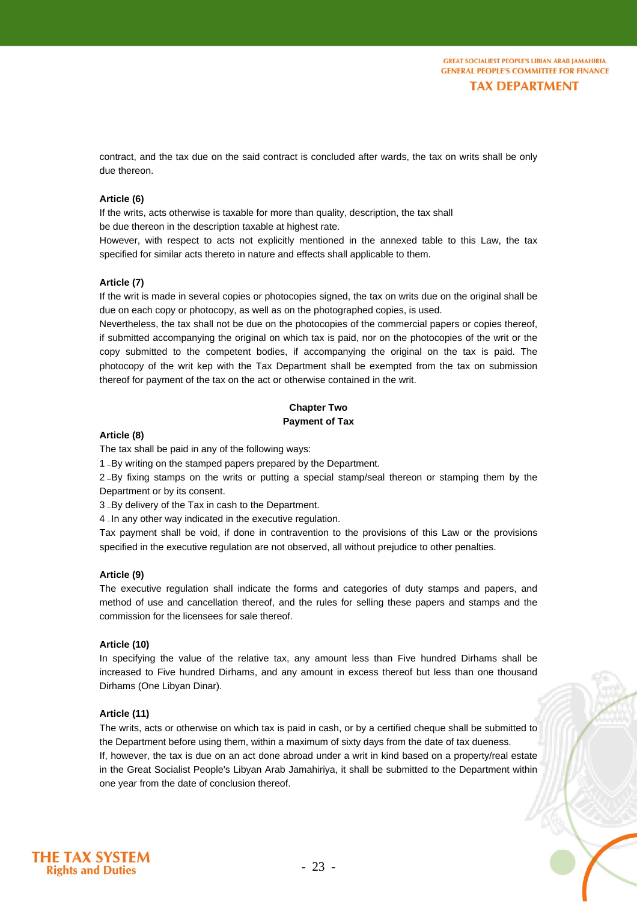contract, and the tax due on the said contract is concluded after wards, the tax on writs shall be only due thereon.

#### **Article (6)**

If the writs, acts otherwise is taxable for more than quality, description, the tax shall be due thereon in the description taxable at highest rate.

However, with respect to acts not explicitly mentioned in the annexed table to this Law, the tax specified for similar acts thereto in nature and effects shall applicable to them.

#### **Article (7)**

If the writ is made in several copies or photocopies signed, the tax on writs due on the original shall be due on each copy or photocopy, as well as on the photographed copies, is used.

Nevertheless, the tax shall not be due on the photocopies of the commercial papers or copies thereof, if submitted accompanying the original on which tax is paid, nor on the photocopies of the writ or the copy submitted to the competent bodies, if accompanying the original on the tax is paid. The photocopy of the writ kep with the Tax Department shall be exempted from the tax on submission thereof for payment of the tax on the act or otherwise contained in the writ.

#### **Chapter Two Payment of Tax**

#### **Article (8)**

The tax shall be paid in any of the following ways:

1 - By writing on the stamped papers prepared by the Department.

2 -By fixing stamps on the writs or putting a special stamp/seal thereon or stamping them by the Department or by its consent.

3 - By delivery of the Tax in cash to the Department.

4  $\blacksquare$ In any other way indicated in the executive regulation.

Tax payment shall be void, if done in contravention to the provisions of this Law or the provisions specified in the executive regulation are not observed, all without prejudice to other penalties.

#### **Article (9)**

The executive regulation shall indicate the forms and categories of duty stamps and papers, and method of use and cancellation thereof, and the rules for selling these papers and stamps and the commission for the licensees for sale thereof.

#### **Article (10)**

In specifying the value of the relative tax, any amount less than Five hundred Dirhams shall be increased to Five hundred Dirhams, and any amount in excess thereof but less than one thousand Dirhams (One Libyan Dinar).

#### **Article (11)**

The writs, acts or otherwise on which tax is paid in cash, or by a certified cheque shall be submitted to the Department before using them, within a maximum of sixty days from the date of tax dueness. If, however, the tax is due on an act done abroad under a writ in kind based on a property/real estate in the Great Socialist People's Libyan Arab Jamahiriya, it shall be submitted to the Department within one year from the date of conclusion thereof.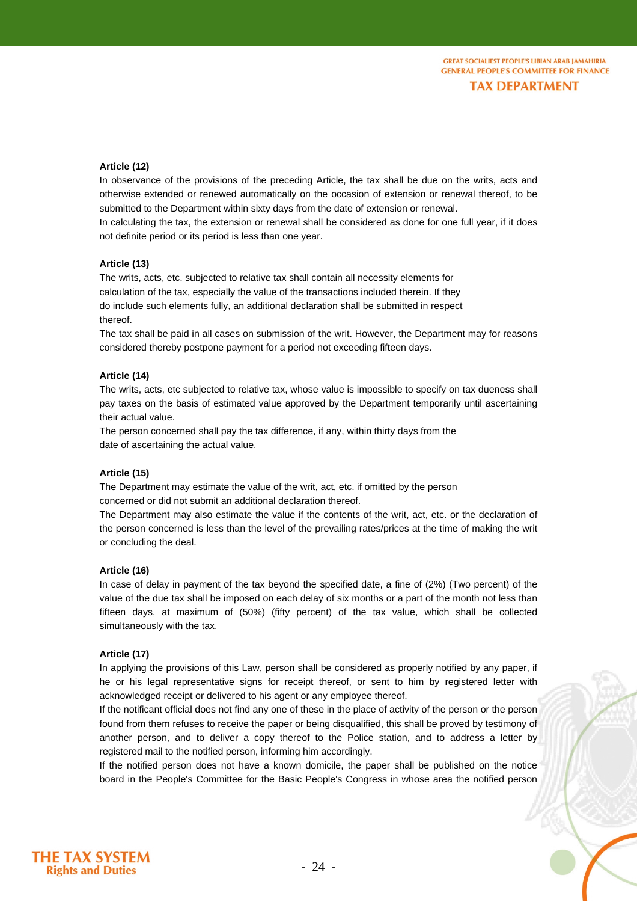#### **Article (12)**

In observance of the provisions of the preceding Article, the tax shall be due on the writs, acts and otherwise extended or renewed automatically on the occasion of extension or renewal thereof, to be submitted to the Department within sixty days from the date of extension or renewal.

In calculating the tax, the extension or renewal shall be considered as done for one full year, if it does not definite period or its period is less than one year.

#### **Article (13)**

The writs, acts, etc. subjected to relative tax shall contain all necessity elements for calculation of the tax, especially the value of the transactions included therein. If they do include such elements fully, an additional declaration shall be submitted in respect thereof.

The tax shall be paid in all cases on submission of the writ. However, the Department may for reasons considered thereby postpone payment for a period not exceeding fifteen days.

#### **Article (14)**

The writs, acts, etc subjected to relative tax, whose value is impossible to specify on tax dueness shall pay taxes on the basis of estimated value approved by the Department temporarily until ascertaining their actual value.

The person concerned shall pay the tax difference, if any, within thirty days from the date of ascertaining the actual value.

#### **Article (15)**

The Department may estimate the value of the writ, act, etc. if omitted by the person concerned or did not submit an additional declaration thereof.

The Department may also estimate the value if the contents of the writ, act, etc. or the declaration of the person concerned is less than the level of the prevailing rates/prices at the time of making the writ or concluding the deal.

#### **Article (16)**

In case of delay in payment of the tax beyond the specified date, a fine of (2%) (Two percent) of the value of the due tax shall be imposed on each delay of six months or a part of the month not less than fifteen days, at maximum of (50%) (fifty percent) of the tax value, which shall be collected simultaneously with the tax.

#### **Article (17)**

In applying the provisions of this Law, person shall be considered as properly notified by any paper, if he or his legal representative signs for receipt thereof, or sent to him by registered letter with acknowledged receipt or delivered to his agent or any employee thereof.

If the notificant official does not find any one of these in the place of activity of the person or the person found from them refuses to receive the paper or being disqualified, this shall be proved by testimony of another person, and to deliver a copy thereof to the Police station, and to address a letter by registered mail to the notified person, informing him accordingly.

If the notified person does not have a known domicile, the paper shall be published on the notice board in the People's Committee for the Basic People's Congress in whose area the notified person

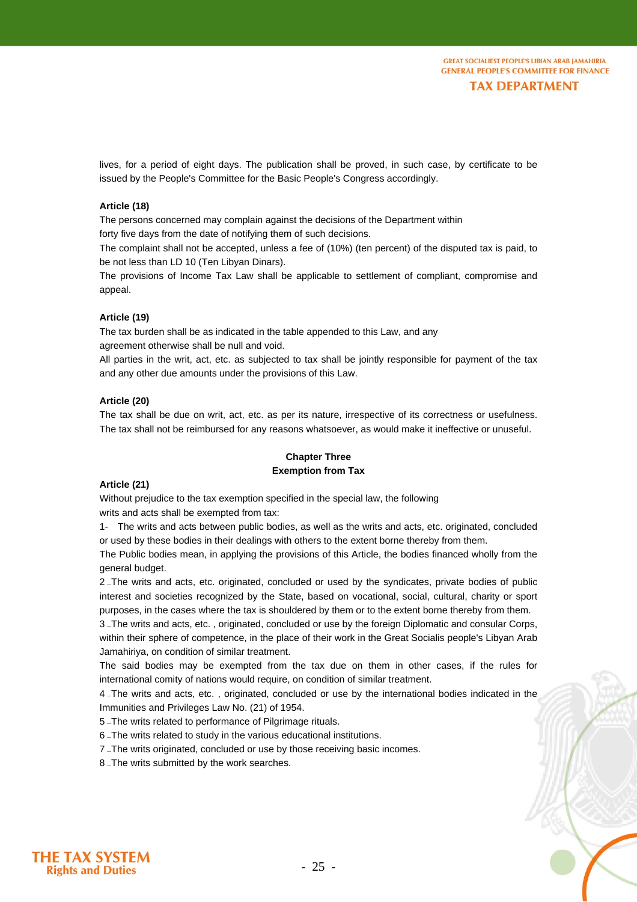lives, for a period of eight days. The publication shall be proved, in such case, by certificate to be issued by the People's Committee for the Basic People's Congress accordingly.

#### **Article (18)**

The persons concerned may complain against the decisions of the Department within forty five days from the date of notifying them of such decisions.

The complaint shall not be accepted, unless a fee of (10%) (ten percent) of the disputed tax is paid, to be not less than LD 10 (Ten Libyan Dinars).

The provisions of Income Tax Law shall be applicable to settlement of compliant, compromise and appeal.

#### **Article (19)**

The tax burden shall be as indicated in the table appended to this Law, and any agreement otherwise shall be null and void.

All parties in the writ, act, etc. as subjected to tax shall be jointly responsible for payment of the tax and any other due amounts under the provisions of this Law.

#### **Article (20)**

The tax shall be due on writ, act, etc. as per its nature, irrespective of its correctness or usefulness. The tax shall not be reimbursed for any reasons whatsoever, as would make it ineffective or unuseful.

#### **Chapter Three Exemption from Tax**

#### **Article (21)**

Without prejudice to the tax exemption specified in the special law, the following writs and acts shall be exempted from tax:

1- The writs and acts between public bodies, as well as the writs and acts, etc. originated, concluded or used by these bodies in their dealings with others to the extent borne thereby from them.

The Public bodies mean, in applying the provisions of this Article, the bodies financed wholly from the general budget.

2. The writs and acts, etc. originated, concluded or used by the syndicates, private bodies of public interest and societies recognized by the State, based on vocational, social, cultural, charity or sport purposes, in the cases where the tax is shouldered by them or to the extent borne thereby from them.

3-The writs and acts, etc., originated, concluded or use by the foreign Diplomatic and consular Corps, within their sphere of competence, in the place of their work in the Great Socialis people's Libyan Arab Jamahiriya, on condition of similar treatment.

The said bodies may be exempted from the tax due on them in other cases, if the rules for international comity of nations would require, on condition of similar treatment.

<sup>4</sup> ≠The writs and acts, etc. , originated, concluded or use by the international bodies indicated in the Immunities and Privileges Law No. (21) of 1954.

5 -The writs related to performance of Pilgrimage rituals.

6 - The writs related to study in the various educational institutions.

7 - The writs originated, concluded or use by those receiving basic incomes.

8 -The writs submitted by the work searches.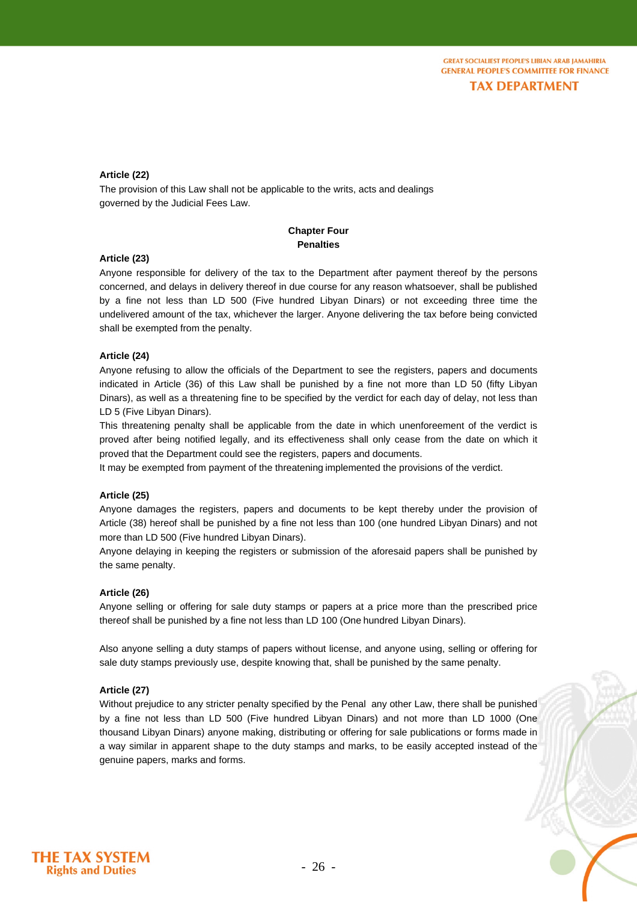**GREAT SOCIALIEST PEOPLE'S LIBIAN ARAB JAMAHIRIA CENERAL PEOPLE'S COMMITTEE FOR FINANCE TAX DEPARTMENT** 

#### **Article (22)**

The provision of this Law shall not be applicable to the writs, acts and dealings governed by the Judicial Fees Law.

#### **Chapter Four Penalties**

#### **Article (23)**

Anyone responsible for delivery of the tax to the Department after payment thereof by the persons concerned, and delays in delivery thereof in due course for any reason whatsoever, shall be published by a fine not less than LD 500 (Five hundred Libyan Dinars) or not exceeding three time the undelivered amount of the tax, whichever the larger. Anyone delivering the tax before being convicted shall be exempted from the penalty.

#### **Article (24)**

Anyone refusing to allow the officials of the Department to see the registers, papers and documents indicated in Article (36) of this Law shall be punished by a fine not more than LD 50 (fifty Libyan Dinars), as well as a threatening fine to be specified by the verdict for each day of delay, not less than LD 5 (Five Libyan Dinars).

This threatening penalty shall be applicable from the date in which unenforeement of the verdict is proved after being notified legally, and its effectiveness shall only cease from the date on which it proved that the Department could see the registers, papers and documents.

It may be exempted from payment of the threatening implemented the provisions of the verdict.

#### **Article (25)**

Anyone damages the registers, papers and documents to be kept thereby under the provision of Article (38) hereof shall be punished by a fine not less than 100 (one hundred Libyan Dinars) and not more than LD 500 (Five hundred Libyan Dinars).

Anyone delaying in keeping the registers or submission of the aforesaid papers shall be punished by the same penalty.

#### **Article (26)**

Anyone selling or offering for sale duty stamps or papers at a price more than the prescribed price thereof shall be punished by a fine not less than LD 100 (One hundred Libyan Dinars).

Also anyone selling a duty stamps of papers without license, and anyone using, selling or offering for sale duty stamps previously use, despite knowing that, shall be punished by the same penalty.

#### **Article (27)**

Without prejudice to any stricter penalty specified by the Penal any other Law, there shall be punished by a fine not less than LD 500 (Five hundred Libyan Dinars) and not more than LD 1000 (One thousand Libyan Dinars) anyone making, distributing or offering for sale publications or forms made in a way similar in apparent shape to the duty stamps and marks, to be easily accepted instead of the genuine papers, marks and forms.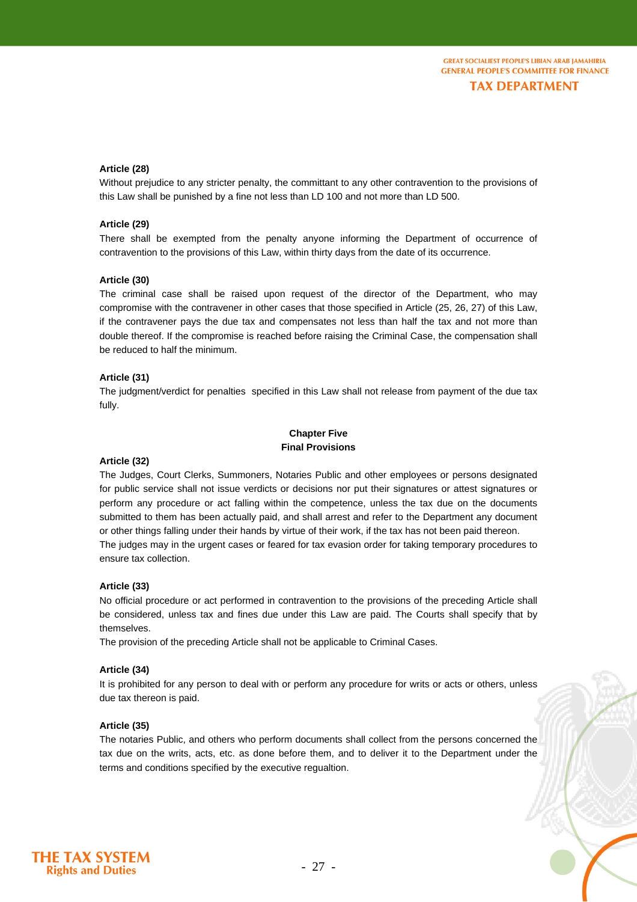#### **Article (28)**

Without prejudice to any stricter penalty, the committant to any other contravention to the provisions of this Law shall be punished by a fine not less than LD 100 and not more than LD 500.

#### **Article (29)**

There shall be exempted from the penalty anyone informing the Department of occurrence of contravention to the provisions of this Law, within thirty days from the date of its occurrence.

#### **Article (30)**

The criminal case shall be raised upon request of the director of the Department, who may compromise with the contravener in other cases that those specified in Article (25, 26, 27) of this Law, if the contravener pays the due tax and compensates not less than half the tax and not more than double thereof. If the compromise is reached before raising the Criminal Case, the compensation shall be reduced to half the minimum.

#### **Article (31)**

The judgment/verdict for penalties specified in this Law shall not release from payment of the due tax fully.

#### **Chapter Five Final Provisions**

#### **Article (32)**

The Judges, Court Clerks, Summoners, Notaries Public and other employees or persons designated for public service shall not issue verdicts or decisions nor put their signatures or attest signatures or perform any procedure or act falling within the competence, unless the tax due on the documents submitted to them has been actually paid, and shall arrest and refer to the Department any document or other things falling under their hands by virtue of their work, if the tax has not been paid thereon. The judges may in the urgent cases or feared for tax evasion order for taking temporary procedures to ensure tax collection.

#### **Article (33)**

No official procedure or act performed in contravention to the provisions of the preceding Article shall be considered, unless tax and fines due under this Law are paid. The Courts shall specify that by themselves.

The provision of the preceding Article shall not be applicable to Criminal Cases.

#### **Article (34)**

It is prohibited for any person to deal with or perform any procedure for writs or acts or others, unless due tax thereon is paid.

#### **Article (35)**

The notaries Public, and others who perform documents shall collect from the persons concerned the tax due on the writs, acts, etc. as done before them, and to deliver it to the Department under the terms and conditions specified by the executive regualtion.

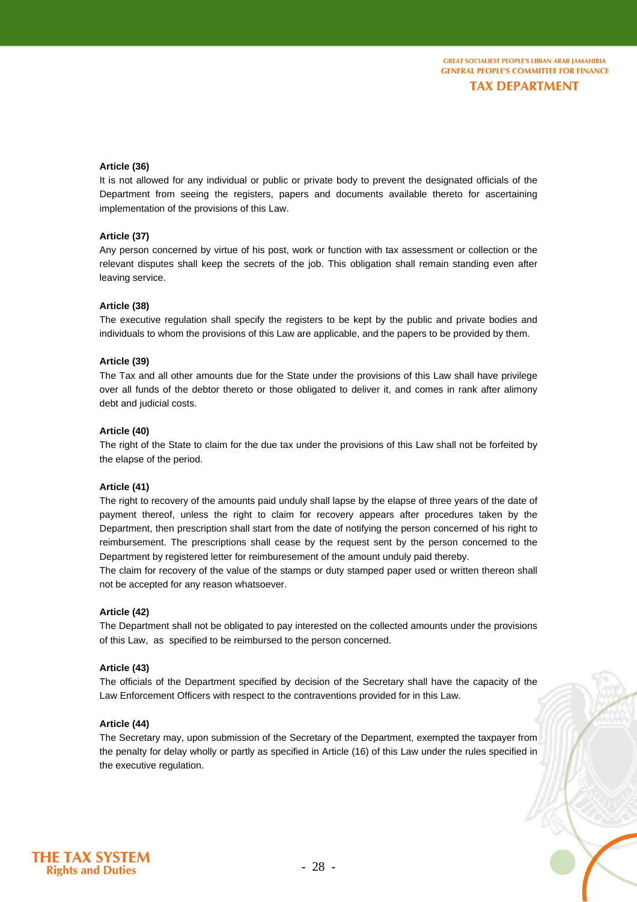#### **Article (36)**

It is not allowed for any individual or public or private body to prevent the designated officials of the Department from seeing the registers, papers and documents available thereto for ascertaining implementation of the provisions of this Law.

#### **Article (37)**

Any person concerned by virtue of his post, work or function with tax assessment or collection or the relevant disputes shall keep the secrets of the job. This obligation shall remain standing even after leaving service.

#### **Article (38)**

The executive regulation shall specify the registers to be kept by the public and private bodies and individuals to whom the provisions of this Law are applicable, and the papers to be provided by them.

#### **Article (39)**

The Tax and all other amounts due for the State under the provisions of this Law shall have privilege over all funds of the debtor thereto or those obligated to deliver it, and comes in rank after alimony debt and judicial costs.

#### **Article (40)**

The right of the State to claim for the due tax under the provisions of this Law shall not be forfeited by the elapse of the period.

#### **Article (41)**

The right to recovery of the amounts paid unduly shall lapse by the elapse of three years of the date of payment thereof, unless the right to claim for recovery appears after procedures taken by the Department, then prescription shall start from the date of notifying the person concerned of his right to reimbursement. The prescriptions shall cease by the request sent by the person concerned to the Department by registered letter for reimburesement of the amount unduly paid thereby.

The claim for recovery of the value of the stamps or duty stamped paper used or written thereon shall not be accepted for any reason whatsoever.

#### **Article (42)**

The Department shall not be obligated to pay interested on the collected amounts under the provisions of this Law, as specified to be reimbursed to the person concerned.

#### **Article (43)**

The officials of the Department specified by decision of the Secretary shall have the capacity of the Law Enforcement Officers with respect to the contraventions provided for in this Law.

#### **Article (44)**

The Secretary may, upon submission of the Secretary of the Department, exempted the taxpayer from the penalty for delay wholly or partly as specified in Article (16) of this Law under the rules specified in the executive regulation.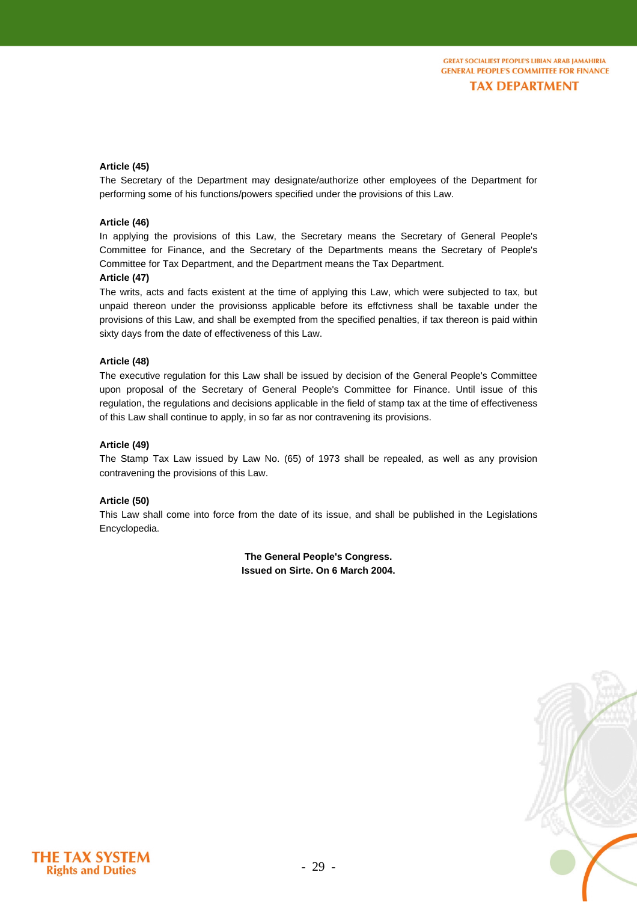#### **Article (45)**

The Secretary of the Department may designate/authorize other employees of the Department for performing some of his functions/powers specified under the provisions of this Law.

#### **Article (46)**

In applying the provisions of this Law, the Secretary means the Secretary of General People's Committee for Finance, and the Secretary of the Departments means the Secretary of People's Committee for Tax Department, and the Department means the Tax Department.

#### **Article (47)**

The writs, acts and facts existent at the time of applying this Law, which were subjected to tax, but unpaid thereon under the provisionss applicable before its effctivness shall be taxable under the provisions of this Law, and shall be exempted from the specified penalties, if tax thereon is paid within sixty days from the date of effectiveness of this Law.

#### **Article (48)**

The executive regulation for this Law shall be issued by decision of the General People's Committee upon proposal of the Secretary of General People's Committee for Finance. Until issue of this regulation, the regulations and decisions applicable in the field of stamp tax at the time of effectiveness of this Law shall continue to apply, in so far as nor contravening its provisions.

#### **Article (49)**

The Stamp Tax Law issued by Law No. (65) of 1973 shall be repealed, as well as any provision contravening the provisions of this Law.

#### **Article (50)**

This Law shall come into force from the date of its issue, and shall be published in the Legislations Encyclopedia.

> **The General People's Congress. Issued on Sirte. On 6 March 2004.**



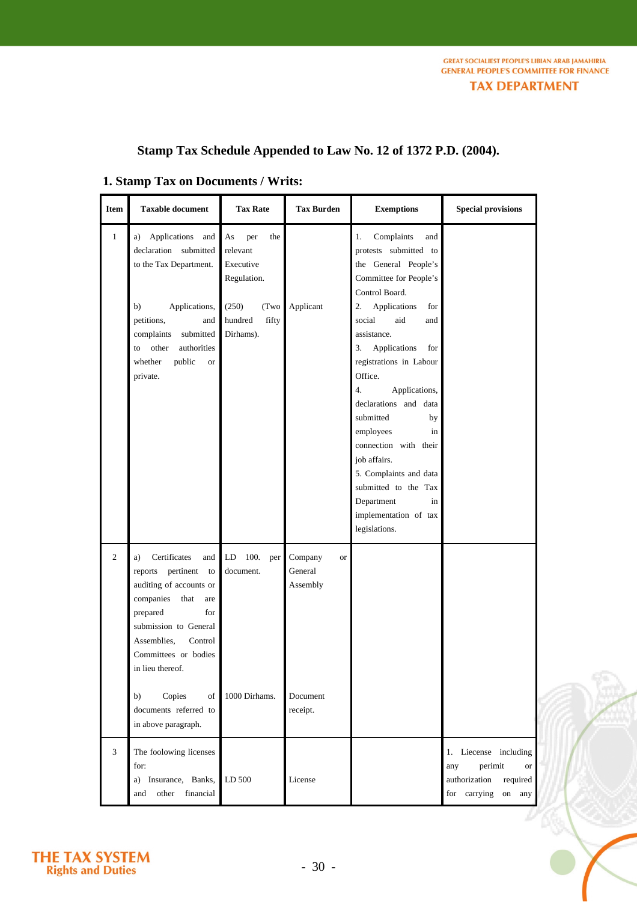## **Stamp Tax Schedule Appended to Law No. 12 of 1372 P.D. (2004).**

### **1. Stamp Tax on Documents / Writs:**

| <b>Item</b>    | <b>Taxable document</b>                                                                                                                                                                                                    | <b>Tax Rate</b>                                          | <b>Tax Burden</b>                           | <b>Exemptions</b>                                                                                                                                                                                                                                                                                                                                                                  | <b>Special provisions</b>                                                                               |  |
|----------------|----------------------------------------------------------------------------------------------------------------------------------------------------------------------------------------------------------------------------|----------------------------------------------------------|---------------------------------------------|------------------------------------------------------------------------------------------------------------------------------------------------------------------------------------------------------------------------------------------------------------------------------------------------------------------------------------------------------------------------------------|---------------------------------------------------------------------------------------------------------|--|
| $\mathbf{1}$   | Applications and<br>a)<br>declaration submitted<br>to the Tax Department.                                                                                                                                                  | As<br>per<br>the<br>relevant<br>Executive<br>Regulation. |                                             | Complaints<br>1.<br>and<br>protests submitted to<br>the General People's<br>Committee for People's<br>Control Board.                                                                                                                                                                                                                                                               |                                                                                                         |  |
|                | b)<br>Applications,<br>petitions,<br>and<br>complaints<br>submitted<br>other<br>authorities<br>to<br>whether<br>public<br><b>or</b><br>private.                                                                            | (250)<br>(Two<br>hundred<br>fifty<br>Dirhams).           | Applicant                                   | 2.<br>Applications<br>for<br>aid<br>social<br>and<br>assistance.<br>3.<br>Applications<br>for<br>registrations in Labour<br>Office.<br>4.<br>Applications,<br>declarations and data<br>submitted<br>by<br>employees<br>in<br>connection with their<br>job affairs.<br>5. Complaints and data<br>submitted to the Tax<br>Department<br>in<br>implementation of tax<br>legislations. |                                                                                                         |  |
| $\overline{c}$ | Certificates<br>and<br>a)<br>reports pertinent to<br>auditing of accounts or<br>companies<br>that<br>are<br>prepared<br>for<br>submission to General<br>Assemblies,<br>Control<br>Committees or bodies<br>in lieu thereof. | 100.<br>LD<br>per<br>document.                           | Company<br><b>or</b><br>General<br>Assembly |                                                                                                                                                                                                                                                                                                                                                                                    |                                                                                                         |  |
|                | Copies<br>b)<br>of<br>documents referred to<br>in above paragraph.                                                                                                                                                         | 1000 Dirhams.                                            | Document<br>receipt.                        |                                                                                                                                                                                                                                                                                                                                                                                    |                                                                                                         |  |
| $\overline{3}$ | The foolowing licenses<br>for:<br>Insurance, Banks,<br>a)<br>financial<br>other<br>and                                                                                                                                     | LD 500                                                   | License                                     |                                                                                                                                                                                                                                                                                                                                                                                    | 1. Liecense including<br>perimit<br>any<br>or<br>authorization<br>required<br>for carrying<br>on<br>any |  |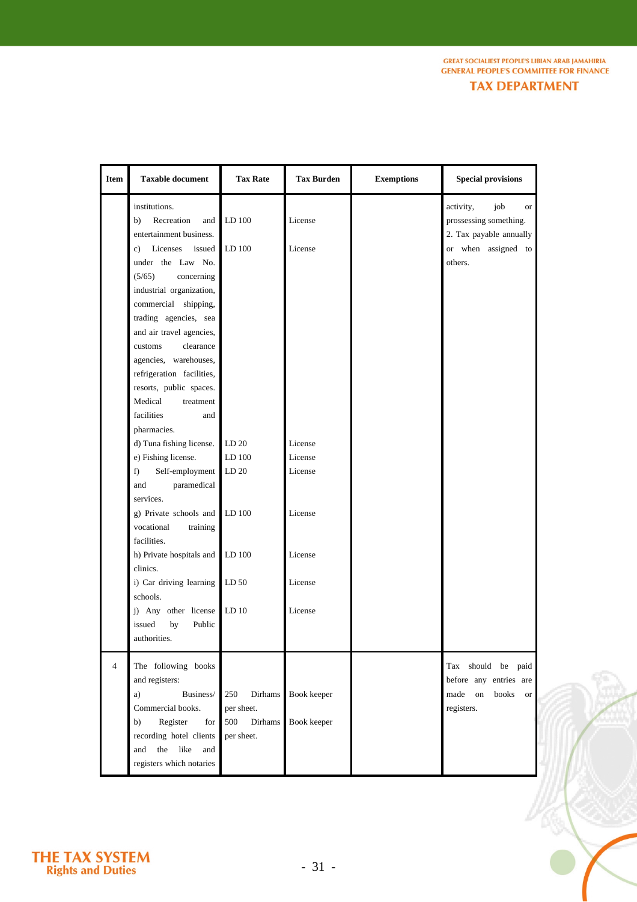**GREAT SOCIALIEST PEOPLE'S LIBIAN ARAB JAMAHIRIA GENERAL PEOPLE'S COMMITTEE FOR FINANCE TAX DEPARTMENT** 

**Item Taxable document Tax Rate Tax Burden Exemptions Special provisions**  institutions. b) Recreation and entertainment business. c) Licenses issued under the Law No. (5/65) concerning industrial organization, commercial shipping, trading agencies, sea and air travel agencies, customs clearance agencies, warehouses, refrigeration facilities, resorts, public spaces. Medical treatment facilities and pharmacies. d) Tuna fishing license. e) Fishing license. f) Self-employment and paramedical services. g) Private schools and vocational training facilities. h) Private hospitals and clinics. i) Car driving learning schools. j) Any other license issued by Public authorities. LD 100 LD 100 LD 20 LD 100 LD 20 LD 100 LD 100 LD 50 LD 10 License License License License License License License License License activity, job or prossessing something. 2. Tax payable annually or when assigned to others. 4 The following books and registers: a) Business/ Commercial books. b) Register for recording hotel clients and the like and registers which notaries 250 Dirhams per sheet. 500 Dirhams per sheet. Book keeper Book keeper Tax should be paid before any entries are made on books or registers.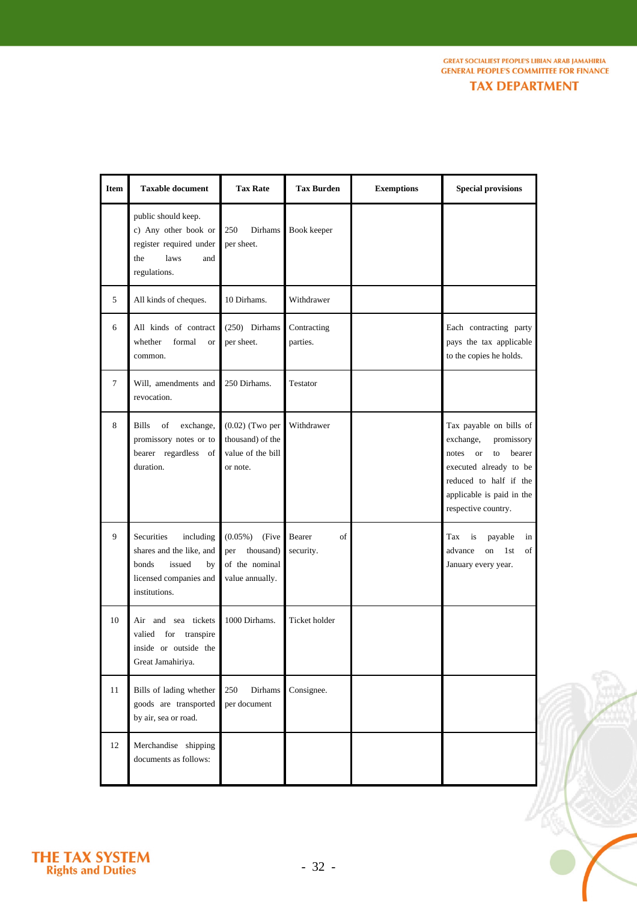| TAX DEPARTMENT |  |  |  |  |  |
|----------------|--|--|--|--|--|
|                |  |  |  |  |  |

| <b>Item</b> | <b>Taxable document</b>                                                                                                 | <b>Tax Rate</b>                                                              | <b>Tax Burden</b>         | <b>Exemptions</b> | <b>Special provisions</b>                                                                                                                                                              |
|-------------|-------------------------------------------------------------------------------------------------------------------------|------------------------------------------------------------------------------|---------------------------|-------------------|----------------------------------------------------------------------------------------------------------------------------------------------------------------------------------------|
|             | public should keep.<br>c) Any other book or<br>register required under<br>laws<br>the<br>and<br>regulations.            | 250<br>Dirhams<br>per sheet.                                                 | Book keeper               |                   |                                                                                                                                                                                        |
| 5           | All kinds of cheques.                                                                                                   | 10 Dirhams.                                                                  | Withdrawer                |                   |                                                                                                                                                                                        |
| 6           | All kinds of contract<br>whether<br>formal<br><b>or</b><br>common.                                                      | (250) Dirhams<br>per sheet.                                                  | Contracting<br>parties.   |                   | Each contracting party<br>pays the tax applicable<br>to the copies he holds.                                                                                                           |
| $\tau$      | Will, amendments and<br>revocation.                                                                                     | 250 Dirhams.                                                                 | Testator                  |                   |                                                                                                                                                                                        |
| 8           | <b>Bills</b><br>of<br>exchange,<br>promissory notes or to<br>bearer regardless of<br>duration.                          | $(0.02)$ (Two per<br>thousand) of the<br>value of the bill<br>or note.       | Withdrawer                |                   | Tax payable on bills of<br>exchange,<br>promissory<br>notes or<br>to<br>bearer<br>executed already to be<br>reduced to half if the<br>applicable is paid in the<br>respective country. |
| 9           | Securities<br>including<br>shares and the like, and<br>bonds<br>issued<br>by<br>licensed companies and<br>institutions. | $(0.05\%)$<br>(Five<br>thousand)<br>per<br>of the nominal<br>value annually. | Bearer<br>of<br>security. |                   | is<br>payable<br>in<br>Tax<br>advance<br>on<br>1st<br>of<br>January every year.                                                                                                        |
| 10          | Air and sea tickets<br>valied for<br>transpire<br>inside or outside the<br>Great Jamahiriya.                            | 1000 Dirhams.                                                                | Ticket holder             |                   |                                                                                                                                                                                        |
| 11          | Bills of lading whether<br>goods are transported<br>by air, sea or road.                                                | 250<br>Dirhams<br>per document                                               | Consignee.                |                   |                                                                                                                                                                                        |
| 12          | Merchandise shipping<br>documents as follows:                                                                           |                                                                              |                           |                   |                                                                                                                                                                                        |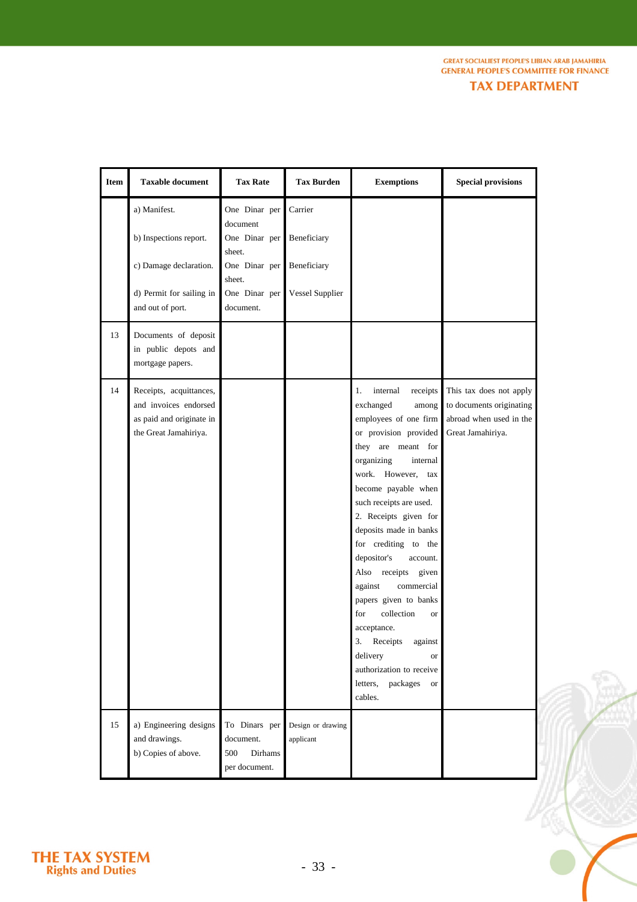| <b>TAX DEPARTMENT</b> |  |
|-----------------------|--|
|                       |  |

 $\tilde{\mathcal{L}}$ 

| <b>Item</b> | <b>Taxable document</b>                                                                                          | <b>Tax Rate</b>                                                                                               | <b>Tax Burden</b>                                               | <b>Exemptions</b>                                                                                                                                                                                                                                                                                                                                                                                                                                                                                                                                                                 | <b>Special provisions</b>                                                                           |
|-------------|------------------------------------------------------------------------------------------------------------------|---------------------------------------------------------------------------------------------------------------|-----------------------------------------------------------------|-----------------------------------------------------------------------------------------------------------------------------------------------------------------------------------------------------------------------------------------------------------------------------------------------------------------------------------------------------------------------------------------------------------------------------------------------------------------------------------------------------------------------------------------------------------------------------------|-----------------------------------------------------------------------------------------------------|
|             | a) Manifest.<br>b) Inspections report.<br>c) Damage declaration.<br>d) Permit for sailing in<br>and out of port. | One Dinar per<br>document<br>One Dinar per<br>sheet.<br>One Dinar per<br>sheet.<br>One Dinar per<br>document. | Carrier<br>Beneficiary<br>Beneficiary<br><b>Vessel Supplier</b> |                                                                                                                                                                                                                                                                                                                                                                                                                                                                                                                                                                                   |                                                                                                     |
| 13          | Documents of deposit<br>in public depots and<br>mortgage papers.                                                 |                                                                                                               |                                                                 |                                                                                                                                                                                                                                                                                                                                                                                                                                                                                                                                                                                   |                                                                                                     |
| 14          | Receipts, acquittances,<br>and invoices endorsed<br>as paid and originate in<br>the Great Jamahiriya.            |                                                                                                               |                                                                 | receipts<br>1.<br>internal<br>exchanged<br>among<br>employees of one firm<br>or provision provided<br>they are meant for<br>organizing<br>internal<br>work. However,<br>tax<br>become payable when<br>such receipts are used.<br>2. Receipts given for<br>deposits made in banks<br>for crediting to the<br>depositor's<br>account.<br>Also receipts given<br>commercial<br>against<br>papers given to banks<br>collection<br>for<br><b>or</b><br>acceptance.<br>3.<br>Receipts<br>against<br>delivery<br>or<br>authorization to receive<br>packages<br>letters,<br>or<br>cables. | This tax does not apply<br>to documents originating<br>abroad when used in the<br>Great Jamahiriya. |
| 15          | a) Engineering designs<br>and drawings.<br>b) Copies of above.                                                   | To Dinars per<br>document.<br>500<br><b>Dirhams</b><br>per document.                                          | Design or drawing<br>applicant                                  |                                                                                                                                                                                                                                                                                                                                                                                                                                                                                                                                                                                   |                                                                                                     |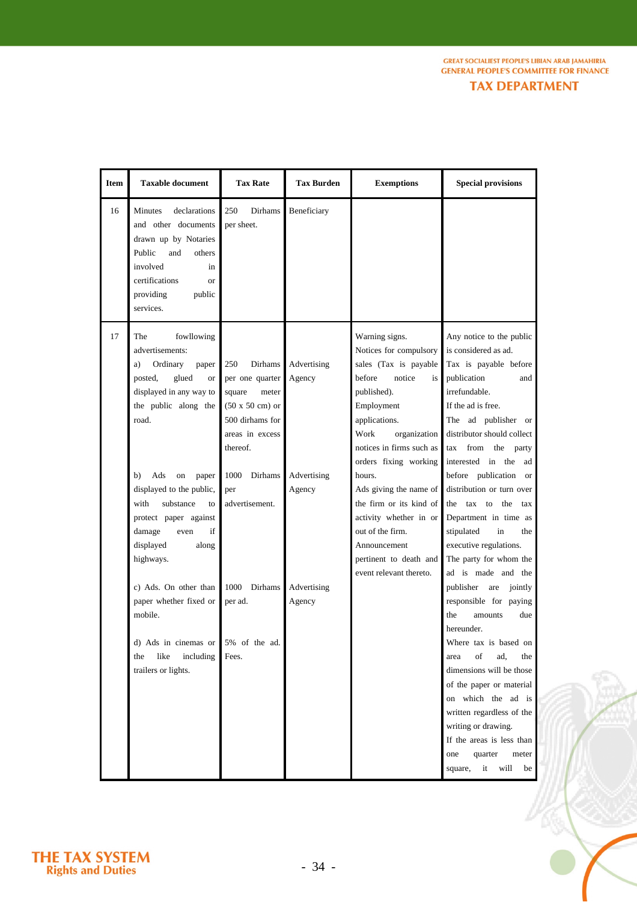|  | <b>TAX DEPARTMENT</b> |  |
|--|-----------------------|--|
|  |                       |  |

| <b>Item</b> | <b>Taxable document</b>                                                                                                                                                                | <b>Tax Rate</b>                                                                                                                          | <b>Tax Burden</b>     | <b>Exemptions</b>                                                                                                                                                                                                      | <b>Special provisions</b>                                                                                                                                                                                                                                                                                                                                               |
|-------------|----------------------------------------------------------------------------------------------------------------------------------------------------------------------------------------|------------------------------------------------------------------------------------------------------------------------------------------|-----------------------|------------------------------------------------------------------------------------------------------------------------------------------------------------------------------------------------------------------------|-------------------------------------------------------------------------------------------------------------------------------------------------------------------------------------------------------------------------------------------------------------------------------------------------------------------------------------------------------------------------|
| 16          | Minutes<br>declarations<br>and other documents<br>drawn up by Notaries<br>Public<br>and<br>others<br>involved<br>in<br>certifications<br><b>or</b><br>providing<br>public<br>services. | 250<br>Dirhams<br>per sheet.                                                                                                             | Beneficiary           |                                                                                                                                                                                                                        |                                                                                                                                                                                                                                                                                                                                                                         |
| 17          | fowllowing<br>The<br>advertisements:<br>Ordinary<br>a)<br>paper<br>posted,<br>glued<br><b>or</b><br>displayed in any way to<br>the public along the<br>road.                           | Dirhams<br>250<br>per one quarter<br>square<br>meter<br>$(50 \times 50 \text{ cm})$ or<br>500 dirhams for<br>areas in excess<br>thereof. | Advertising<br>Agency | Warning signs.<br>Notices for compulsory<br>sales (Tax is payable<br>before<br>notice<br>is<br>published).<br>Employment<br>applications.<br>Work<br>organization<br>notices in firms such as<br>orders fixing working | Any notice to the public<br>is considered as ad.<br>Tax is payable before<br>publication<br>and<br>irrefundable.<br>If the ad is free.<br>The ad publisher or<br>distributor should collect<br>from<br>the party<br>tax<br>interested in the<br>ad                                                                                                                      |
|             | Ads<br>b)<br>on<br>paper<br>displayed to the public,<br>substance<br>with<br>to<br>protect paper against<br>if<br>damage<br>even<br>displayed<br>along<br>highways.                    | Dirhams<br>1000<br>per<br>advertisement.                                                                                                 | Advertising<br>Agency | hours.<br>Ads giving the name of<br>the firm or its kind of<br>activity whether in or<br>out of the firm.<br>Announcement<br>pertinent to death and<br>event relevant thereto.                                         | before publication<br><sub>or</sub><br>distribution or turn over<br>tax to the<br>the<br>tax<br>Department in time as<br>stipulated<br>in<br>the<br>executive regulations.<br>The party for whom the<br>ad is made and the                                                                                                                                              |
|             | c) Ads. On other than<br>paper whether fixed or<br>mobile.<br>d) Ads in cinemas or<br>like<br>including<br>the<br>trailers or lights.                                                  | 1000<br>Dirhams<br>per ad.<br>5% of the ad.<br>Fees.                                                                                     | Advertising<br>Agency |                                                                                                                                                                                                                        | publisher are<br>jointly<br>responsible for paying<br>the<br>due<br>amounts<br>hereunder.<br>Where tax is based on<br>οf<br>ad,<br>the<br>area<br>dimensions will be those<br>of the paper or material<br>on which the ad is<br>written regardless of the<br>writing or drawing.<br>If the areas is less than<br>quarter<br>one<br>meter<br>square,<br>will<br>it<br>be |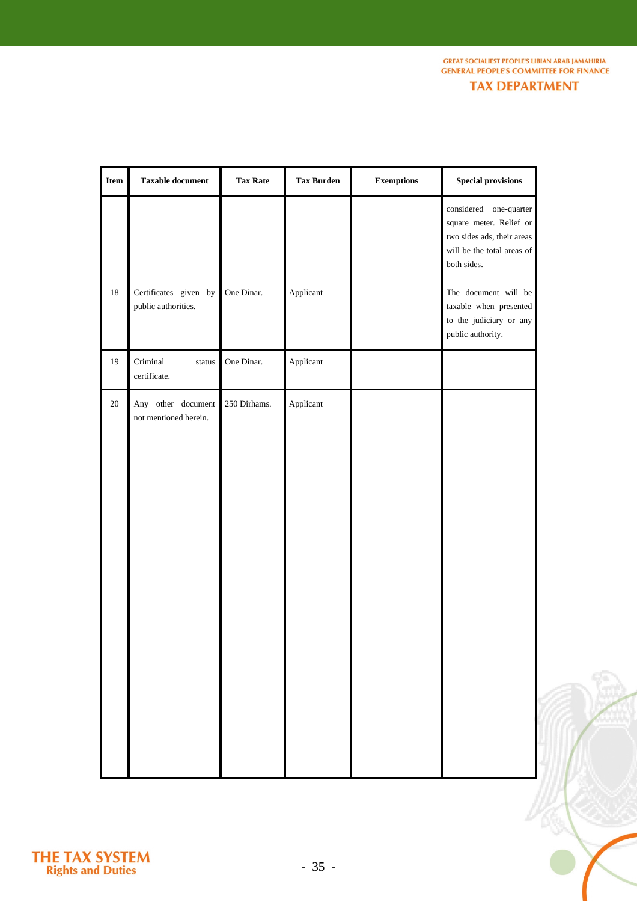**GREAT SOCIALIEST PEOPLE'S LIBIAN ARAB JAMAHIRIA GENERAL PEOPLE'S COMMITTEE FOR FINANCE TAX DEPARTMENT** 

18 19 20 Certificates given by public authorities. Criminal status certificate. Any other document not mentioned herein. One Dinar. One Dinar. 250 Dirhams. Applicant Applicant Applicant considered one-quarter square meter. Relief or two sides ads, their areas will be the total areas of both sides. The document will be taxable when presented to the judiciary or any public authority. **Item Taxable document Tax Rate Tax Burden Exemptions Special provisions** 

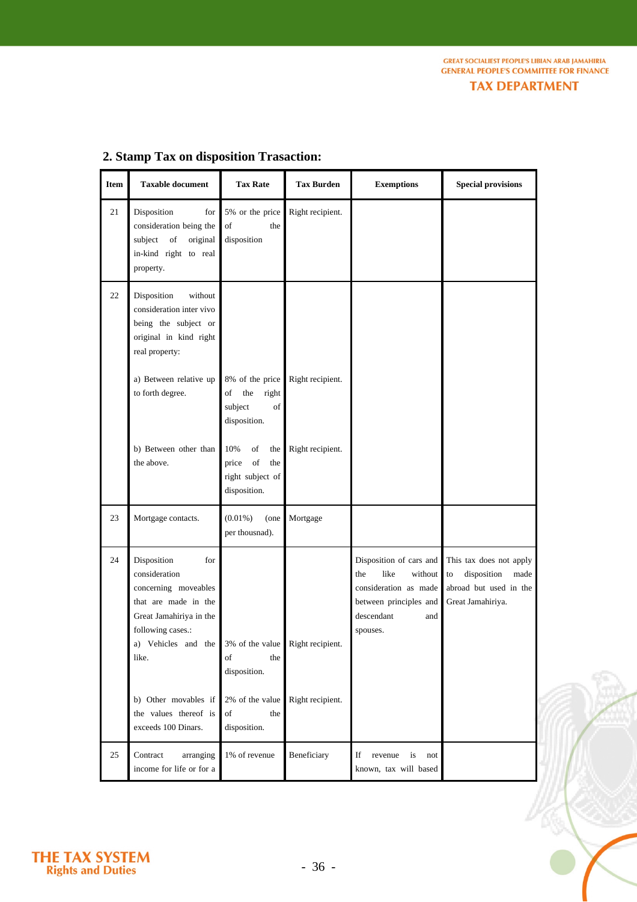**GREAT SOCIALIEST PEOPLE'S LIBIAN ARAB JAMAHIRIA GENERAL PEOPLE'S COMMITTEE FOR FINANCE** 

**TAX DEPARTMENT** 

 $\mathbb{C}$ 

| <b>Item</b> | <b>Taxable document</b>                                                                                                                                                                                                         | <b>Tax Rate</b>                                                            | <b>Tax Burden</b> | <b>Exemptions</b>                                                                                                                     | <b>Special provisions</b>                                                                           |
|-------------|---------------------------------------------------------------------------------------------------------------------------------------------------------------------------------------------------------------------------------|----------------------------------------------------------------------------|-------------------|---------------------------------------------------------------------------------------------------------------------------------------|-----------------------------------------------------------------------------------------------------|
| 21          | Disposition<br>for<br>consideration being the<br>subject of<br>original<br>in-kind right to real<br>property.                                                                                                                   | 5% or the price<br>of<br>the<br>disposition                                | Right recipient.  |                                                                                                                                       |                                                                                                     |
| 22          | Disposition<br>without<br>consideration inter vivo<br>being the subject or<br>original in kind right<br>real property:                                                                                                          |                                                                            |                   |                                                                                                                                       |                                                                                                     |
|             | a) Between relative up<br>to forth degree.                                                                                                                                                                                      | 8% of the price<br>the<br>of<br>right<br>subject<br>of<br>disposition.     | Right recipient.  |                                                                                                                                       |                                                                                                     |
|             | b) Between other than<br>the above.                                                                                                                                                                                             | 10%<br>of<br>the<br>of<br>price<br>the<br>right subject of<br>disposition. | Right recipient.  |                                                                                                                                       |                                                                                                     |
| 23          | Mortgage contacts.                                                                                                                                                                                                              | $(0.01\%)$<br>(one<br>per thousnad).                                       | Mortgage          |                                                                                                                                       |                                                                                                     |
| 24          | Disposition<br>for<br>consideration<br>concerning moveables<br>that are made in the<br>Great Jamahiriya in the<br>following cases.:<br>a) Vehicles and the $3\%$ of the value Right recipient.<br>like.<br>b) Other movables if | of<br>the<br>disposition.<br>2% of the value                               | Right recipient.  | Disposition of cars and<br>like<br>the<br>without<br>consideration as made<br>between principles and<br>descendant<br>and<br>spouses. | This tax does not apply<br>disposition<br>to<br>made<br>abroad but used in the<br>Great Jamahiriya. |
|             | the values thereof is<br>exceeds 100 Dinars.                                                                                                                                                                                    | of<br>the<br>disposition.                                                  |                   |                                                                                                                                       |                                                                                                     |
| 25          | Contract<br>arranging<br>income for life or for a                                                                                                                                                                               | 1% of revenue                                                              | Beneficiary       | If<br>revenue<br>is<br>not<br>known, tax will based                                                                                   |                                                                                                     |

## **2. Stamp Tax on disposition Trasaction:**

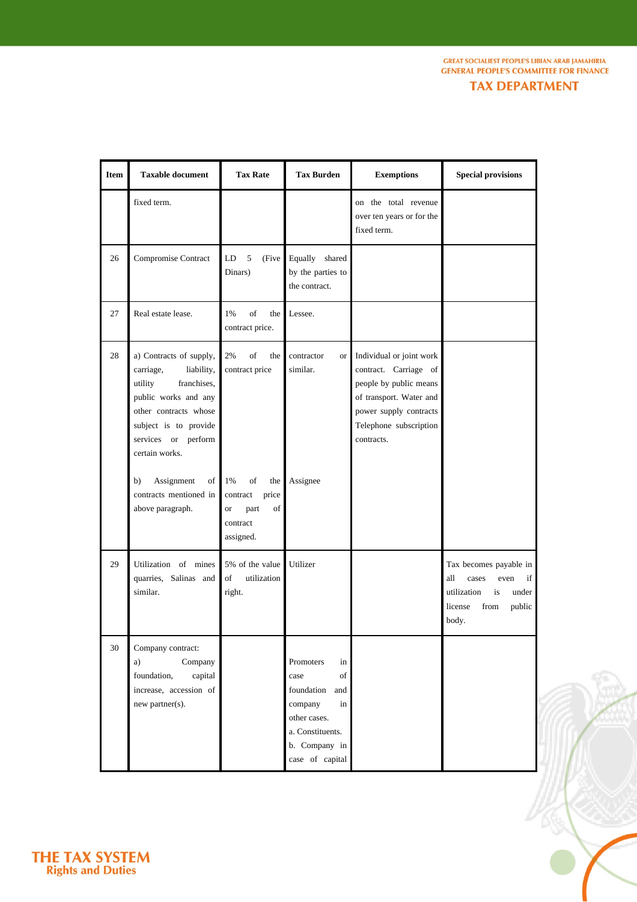**GREAT SOCIALIEST PEOPLE'S LIBIAN ARAB JAMAHIRIA GENERAL PEOPLE'S COMMITTEE FOR FINANCE** 

**TAX DEPARTMENT** 

| <b>Item</b> | <b>Taxable document</b>                                                                                                                                                                         | <b>Tax Rate</b>                                                                          | <b>Tax Burden</b>                                                                                                                           | <b>Exemptions</b>                                                                                                                                                        | <b>Special provisions</b>                                                                                                |
|-------------|-------------------------------------------------------------------------------------------------------------------------------------------------------------------------------------------------|------------------------------------------------------------------------------------------|---------------------------------------------------------------------------------------------------------------------------------------------|--------------------------------------------------------------------------------------------------------------------------------------------------------------------------|--------------------------------------------------------------------------------------------------------------------------|
|             | fixed term.                                                                                                                                                                                     |                                                                                          |                                                                                                                                             | on the total revenue<br>over ten years or for the<br>fixed term.                                                                                                         |                                                                                                                          |
| 26          | Compromise Contract                                                                                                                                                                             | 5<br>LD<br>(Five<br>Dinars)                                                              | Equally shared<br>by the parties to<br>the contract.                                                                                        |                                                                                                                                                                          |                                                                                                                          |
| 27          | Real estate lease.                                                                                                                                                                              | of<br>1%<br>the<br>contract price.                                                       | Lessee.                                                                                                                                     |                                                                                                                                                                          |                                                                                                                          |
| 28          | a) Contracts of supply,<br>carriage,<br>liability,<br>franchises,<br>utility<br>public works and any<br>other contracts whose<br>subject is to provide<br>services or perform<br>certain works. | of<br>2%<br>the<br>contract price                                                        | contractor<br><b>or</b><br>similar.                                                                                                         | Individual or joint work<br>contract. Carriage of<br>people by public means<br>of transport. Water and<br>power supply contracts<br>Telephone subscription<br>contracts. |                                                                                                                          |
|             | Assignment<br>b)<br>of<br>contracts mentioned in<br>above paragraph.                                                                                                                            | of<br>1%<br>the<br>price<br>contract<br>of<br>part<br><b>or</b><br>contract<br>assigned. | Assignee                                                                                                                                    |                                                                                                                                                                          |                                                                                                                          |
| 29          | Utilization of mines<br>quarries, Salinas and<br>similar.                                                                                                                                       | 5% of the value<br>of<br>utilization<br>right.                                           | Utilizer                                                                                                                                    |                                                                                                                                                                          | Tax becomes payable in<br>if<br>all<br>cases<br>even<br>utilization<br>is<br>under<br>license<br>from<br>public<br>body. |
| 30          | Company contract:<br>Company<br>a)<br>foundation,<br>capital<br>increase, accession of<br>new partner(s).                                                                                       |                                                                                          | Promoters<br>in<br>of<br>case<br>foundation<br>and<br>company<br>in<br>other cases.<br>a. Constituents.<br>b. Company in<br>case of capital |                                                                                                                                                                          |                                                                                                                          |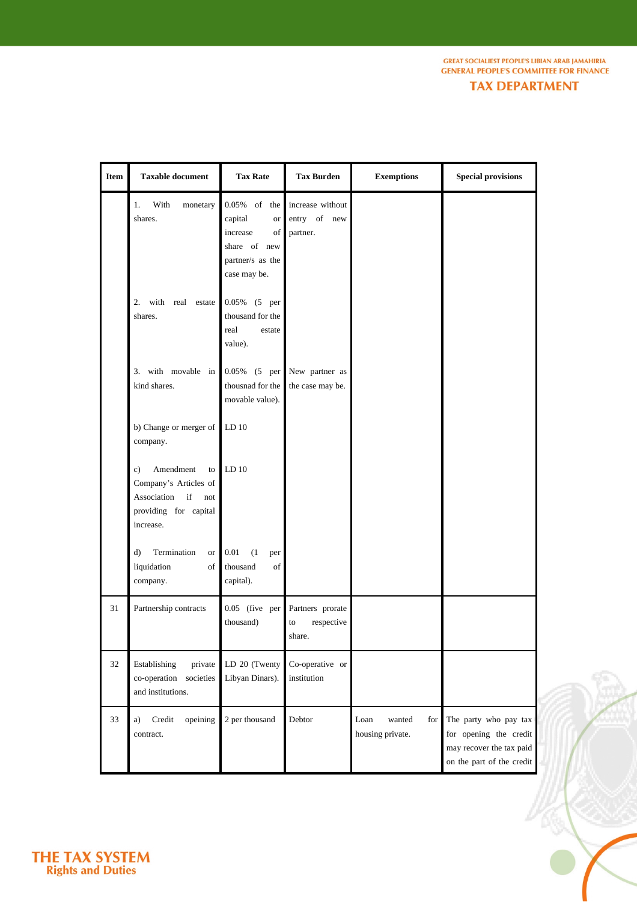**GREAT SOCIALIEST PEOPLE'S LIBIAN ARAB JAMAHIRIA GENERAL PEOPLE'S COMMITTEE FOR FINANCE** 

**TAX DEPARTMENT** 

| <b>Item</b> | <b>Taxable document</b>                                                                                          | <b>Tax Rate</b>                                                                                                                                                  | <b>Tax Burden</b>                              | <b>Exemptions</b>                         | <b>Special provisions</b>                                                                                |
|-------------|------------------------------------------------------------------------------------------------------------------|------------------------------------------------------------------------------------------------------------------------------------------------------------------|------------------------------------------------|-------------------------------------------|----------------------------------------------------------------------------------------------------------|
|             | With<br>1.<br>monetary<br>shares.<br>2. with real estate<br>shares.                                              | 0.05% of the<br>capital<br><b>or</b><br>increase<br>of<br>share of new<br>partner/s as the<br>case may be.<br>0.05% (5 per<br>thousand for the<br>real<br>estate | increase without<br>entry of new<br>partner.   |                                           |                                                                                                          |
|             | 3. with movable in<br>kind shares.                                                                               | value).<br>0.05% (5 per<br>thousnad for the<br>movable value).                                                                                                   | New partner as<br>the case may be.             |                                           |                                                                                                          |
|             | b) Change or merger of<br>company.                                                                               | LD <sub>10</sub>                                                                                                                                                 |                                                |                                           |                                                                                                          |
|             | Amendment<br>c)<br>to<br>Company's Articles of<br>Association<br>if<br>not<br>providing for capital<br>increase. | LD <sub>10</sub>                                                                                                                                                 |                                                |                                           |                                                                                                          |
|             | Termination<br>d)<br><b>or</b><br>liquidation<br>of<br>company.                                                  | 0.01<br>(1)<br>per<br>thousand<br>of<br>capital).                                                                                                                |                                                |                                           |                                                                                                          |
| 31          | Partnership contracts                                                                                            | 0.05 (five per<br>thousand)                                                                                                                                      | Partners prorate<br>respective<br>to<br>share. |                                           |                                                                                                          |
| 32          | Establishing<br>private<br>co-operation societies<br>and institutions.                                           | LD 20 (Twenty<br>Libyan Dinars).                                                                                                                                 | Co-operative or<br>institution                 |                                           |                                                                                                          |
| 33          | Credit<br>opeining<br>a)<br>contract.                                                                            | 2 per thousand                                                                                                                                                   | Debtor                                         | Loan<br>wanted<br>for<br>housing private. | The party who pay tax<br>for opening the credit<br>may recover the tax paid<br>on the part of the credit |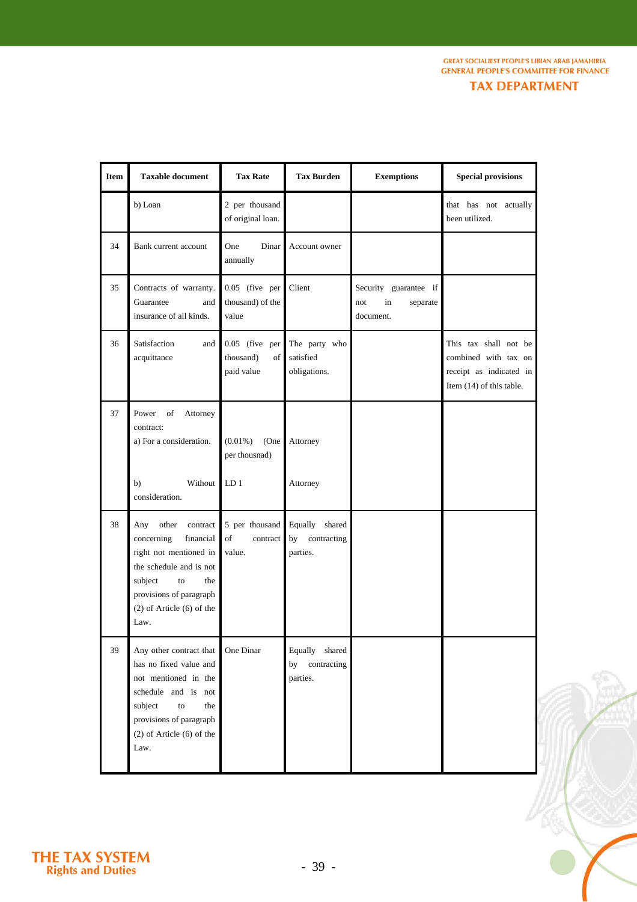| <b>TAX DEPARTMENT</b> |  |  |  |
|-----------------------|--|--|--|
|                       |  |  |  |

| <b>Item</b> | <b>Taxable document</b>                                                                                                                                                                              | <b>Tax Rate</b>                                 | <b>Tax Burden</b>                               | <b>Exemptions</b>                                           | <b>Special provisions</b>                                                                            |
|-------------|------------------------------------------------------------------------------------------------------------------------------------------------------------------------------------------------------|-------------------------------------------------|-------------------------------------------------|-------------------------------------------------------------|------------------------------------------------------------------------------------------------------|
|             | b) Loan                                                                                                                                                                                              | 2 per thousand<br>of original loan.             |                                                 |                                                             | that has not actually<br>been utilized.                                                              |
| 34          | Bank current account                                                                                                                                                                                 | One<br>Dinar<br>annually                        | Account owner                                   |                                                             |                                                                                                      |
| 35          | Contracts of warranty.<br>Guarantee<br>and<br>insurance of all kinds.                                                                                                                                | 0.05 (five per<br>thousand) of the<br>value     | Client                                          | Security guarantee if<br>in<br>separate<br>not<br>document. |                                                                                                      |
| 36          | Satisfaction<br>and<br>acquittance                                                                                                                                                                   | 0.05 (five per<br>thousand)<br>of<br>paid value | The party who<br>satisfied<br>obligations.      |                                                             | This tax shall not be<br>combined with tax on<br>receipt as indicated in<br>Item (14) of this table. |
| 37          | Attorney<br>Power<br>of<br>contract:<br>a) For a consideration.                                                                                                                                      | $(0.01\%)$<br>(One)<br>per thousnad)            | Attorney                                        |                                                             |                                                                                                      |
|             | b)<br>Without  <br>consideration.                                                                                                                                                                    | LD <sub>1</sub>                                 | Attorney                                        |                                                             |                                                                                                      |
| 38          | other<br>contract<br>Any<br>concerning<br>financial<br>right not mentioned in<br>the schedule and is not<br>subject<br>to<br>the<br>provisions of paragraph<br>$(2)$ of Article $(6)$ of the<br>Law. | 5 per thousand<br>of<br>contract<br>value.      | Equally shared<br>by<br>contracting<br>parties. |                                                             |                                                                                                      |
| 39          | Any other contract that<br>has no fixed value and<br>not mentioned in the<br>schedule and is not<br>subject<br>the<br>to<br>provisions of paragraph<br>$(2)$ of Article $(6)$ of the<br>Law.         | One Dinar                                       | Equally shared<br>contracting<br>by<br>parties. |                                                             |                                                                                                      |

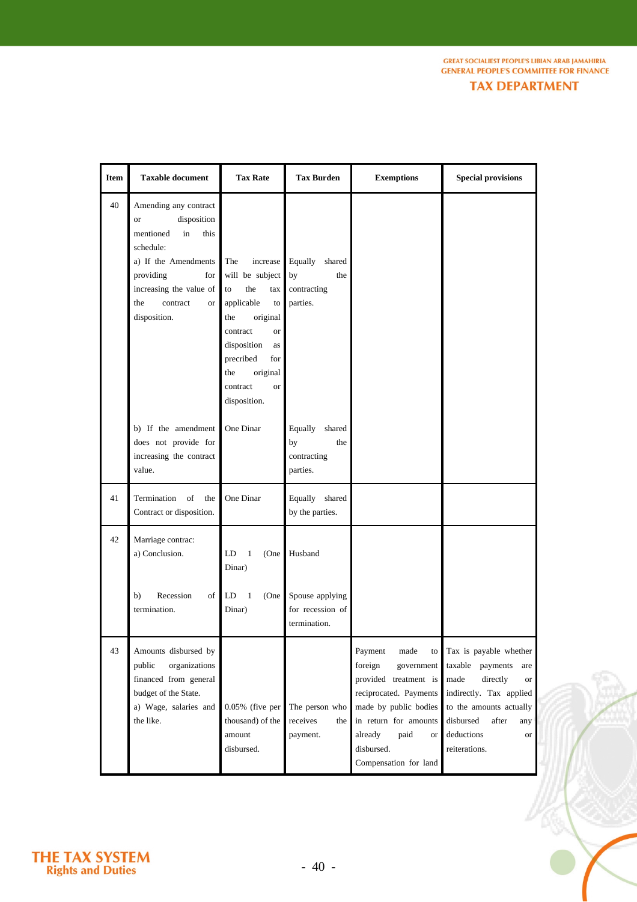**GREAT SOCIALIEST PEOPLE'S LIBIAN ARAB JAMAHIRIA<br>GENERAL PEOPLE'S COMMITTEE FOR FINANCE** 

**TAX DEPARTMENT** 

| <b>Item</b> | <b>Taxable document</b>                                                                                                                                                                                                       | <b>Tax Rate</b>                                                                                                                                                                                                                 | <b>Tax Burden</b>                                              | <b>Exemptions</b>                                                                                                                                                                                                          | <b>Special provisions</b>                                                                                                                                                                                  |
|-------------|-------------------------------------------------------------------------------------------------------------------------------------------------------------------------------------------------------------------------------|---------------------------------------------------------------------------------------------------------------------------------------------------------------------------------------------------------------------------------|----------------------------------------------------------------|----------------------------------------------------------------------------------------------------------------------------------------------------------------------------------------------------------------------------|------------------------------------------------------------------------------------------------------------------------------------------------------------------------------------------------------------|
| 40          | Amending any contract<br>disposition<br><b>or</b><br>mentioned<br>in<br>this<br>schedule:<br>a) If the Amendments<br>providing<br>$for \,  $<br>increasing the value of<br>the<br>contract<br>or <sub>1</sub><br>disposition. | The<br>increase<br>will be subject<br>the<br>tax<br>to<br>applicable<br>to<br>original<br>the<br>contract<br><sub>or</sub><br>disposition<br>as<br>precribed<br>for<br>the<br>original<br>contract<br><b>or</b><br>disposition. | Equally<br>shared<br>by<br>the<br>contracting<br>parties.      |                                                                                                                                                                                                                            |                                                                                                                                                                                                            |
|             | b) If the amendment<br>does not provide for<br>increasing the contract<br>value.                                                                                                                                              | One Dinar                                                                                                                                                                                                                       | Equally shared<br>by<br>the<br>contracting<br>parties.         |                                                                                                                                                                                                                            |                                                                                                                                                                                                            |
| 41          | of<br>Termination<br>the<br>Contract or disposition.                                                                                                                                                                          | One Dinar                                                                                                                                                                                                                       | Equally shared<br>by the parties.                              |                                                                                                                                                                                                                            |                                                                                                                                                                                                            |
| 42          | Marriage contrac:<br>a) Conclusion.<br>Recession<br>of<br>b)<br>termination.                                                                                                                                                  | LD<br>1<br>(One<br>Dinar)<br>$\mathbf{1}$<br>LD<br>(One)<br>Dinar)                                                                                                                                                              | Husband<br>Spouse applying<br>for recession of<br>termination. |                                                                                                                                                                                                                            |                                                                                                                                                                                                            |
| 43          | Amounts disbursed by<br>organizations<br>public<br>financed from general<br>budget of the State.<br>a) Wage, salaries and<br>the like.                                                                                        | $0.05\%$ (five per<br>thousand) of the<br>amount<br>disbursed.                                                                                                                                                                  | The person who<br>receives<br>the<br>payment.                  | Payment<br>made<br>to<br>foreign<br>government<br>provided treatment is<br>reciprocated. Payments<br>made by public bodies<br>in return for amounts<br>paid<br>already<br><b>or</b><br>disbursed.<br>Compensation for land | Tax is payable whether<br>taxable payments<br>are<br>directly<br>made<br><b>or</b><br>indirectly. Tax applied<br>to the amounts actually<br>disbursed<br>after<br>any<br>deductions<br>or<br>reiterations. |